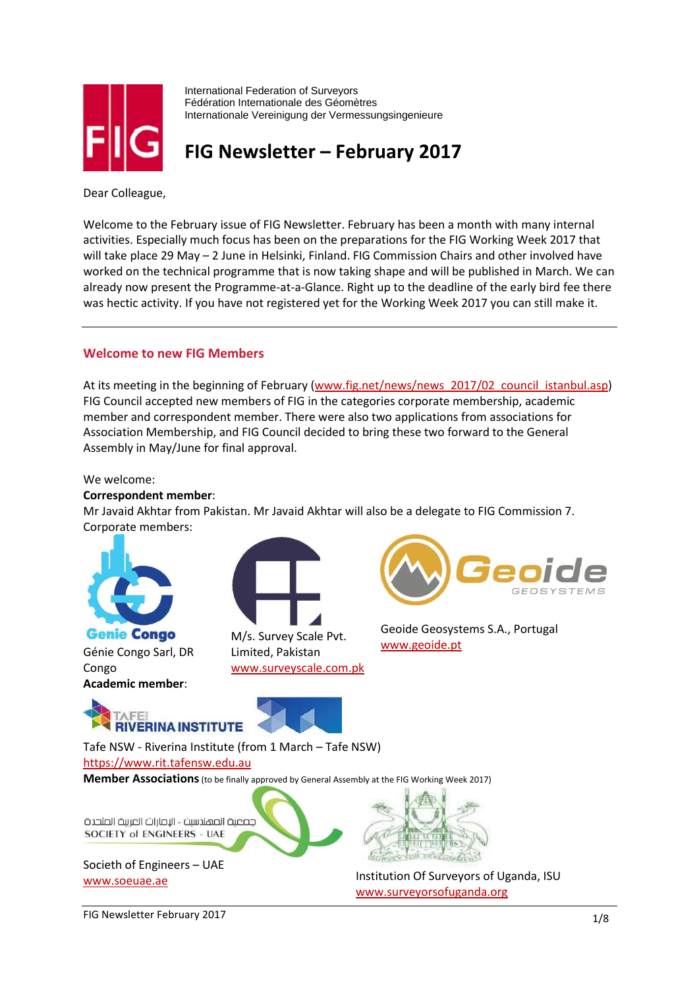

International Federation of Surveyors Fédération Internationale des Géomètres Internationale Vereinigung der Vermessungsingenieure

# **FIG Newsletter – February 2017**

Dear Colleague,

Welcome to the February issue of FIG Newsletter. February has been a month with many internal activities. Especially much focus has been on the preparations for the FIG Working Week 2017 that will take place 29 May – 2 June in Helsinki, Finland. FIG Commission Chairs and other involved have worked on the technical programme that is now taking shape and will be published in March. We can already now present the Programme-at-a-Glance. Right up to the deadline of the early bird fee there was hectic activity. If you have not registered yet for the Working Week 2017 you can still make it.

# **Welcome to new FIG Members**

At its meeting in the beginning of February [\(www.fig.net/news/news\\_2017/02\\_council\\_istanbul.asp\)](http://www.fig.net/news/news_2017/02_council_istanbul.asp) FIG Council accepted new members of FIG in the categories corporate membership, academic member and correspondent member. There were also two applications from associations for Association Membership, and FIG Council decided to bring these two forward to the General Assembly in May/June for final approval.

#### We welcome:

#### **Correspondent member**:

Mr Javaid Akhtar from Pakistan. Mr Javaid Akhtar will also be a delegate to FIG Commission 7. Corporate members:



**Genie Congo** Génie Congo Sarl, DR Congo **Academic member**:



Limited, Pakistan [www.surveyscale.com.pk](http://www.surveyscale.com.pk/)



Geoide Geosystems S.A., Portugal [www.geoide.pt](http://www.geoide.pt/)





Tafe NSW - Riverina Institute (from 1 March – Tafe NSW) [https://www.rit.tafensw.edu.au](https://www.rit.tafensw.edu.au/)

**Member Associations**(to be finally approved by General Assembly at the FIG Working Week 2017)



Societh of Engineers – UAE



[www.soeuae.ae](http://www.soeuae.ae/) Institution Of Surveyors of Uganda, ISU [www.surveyorsofuganda.org](http://www.surveyorsofuganda.org/)

FIG Newsletter February 2017 1/8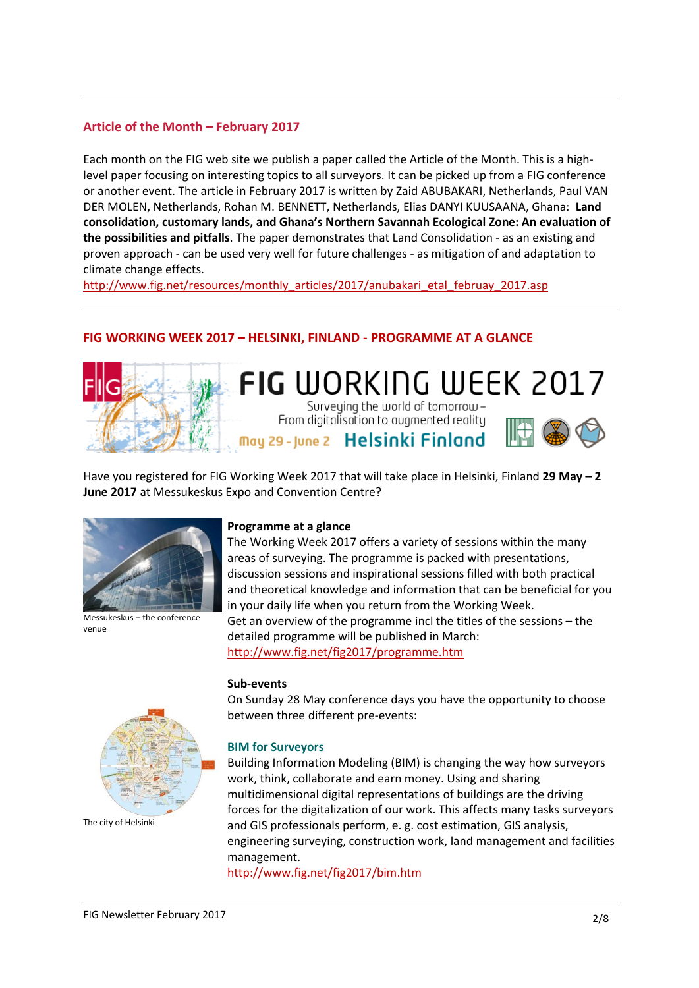# **Article of the Month – February 2017**

Each month on the FIG web site we publish a paper called the Article of the Month. This is a highlevel paper focusing on interesting topics to all surveyors. It can be picked up from a FIG conference or another event. The article in February 2017 is written by Zaid ABUBAKARI, Netherlands, Paul VAN DER MOLEN, Netherlands, Rohan M. BENNETT, Netherlands, Elias DANYI KUUSAANA, Ghana: **Land consolidation, customary lands, and Ghana's Northern Savannah Ecological Zone: An evaluation of the possibilities and pitfalls**. The paper demonstrates that Land Consolidation - as an existing and proven approach - can be used very well for future challenges - as mitigation of and adaptation to climate change effects.

[http://www.fig.net/resources/monthly\\_articles/2017/anubakari\\_etal\\_februay\\_2017.asp](http://www.fig.net/resources/monthly_articles/2017/anubakari_etal_februay_2017.asp)

# **FIG WORKING WEEK 2017 – HELSINKI, FINLAND - PROGRAMME AT A GLANCE**



# **FIG WORKING WEEK 2017** Surveying the world of tomorrow-

From digitalisation to augmented reality May 29 - June 2 Helsinki Finland



Have you registered for FIG Working Week 2017 that will take place in Helsinki, Finland **29 May – 2 June 2017** at Messukeskus Expo and Convention Centre?



Messukeskus – the conference venue

#### **Programme at a glance**

The Working Week 2017 offers a variety of sessions within the many areas of surveying. The programme is packed with presentations, discussion sessions and inspirational sessions filled with both practical and theoretical knowledge and information that can be beneficial for you in your daily life when you return from the Working Week. Get an overview of the programme incl the titles of the sessions – the detailed programme will be published in March: <http://www.fig.net/fig2017/programme.htm>

#### **Sub-events**

On Sunday 28 May conference days you have the opportunity to choose between three different pre-events:

#### **BIM for Surveyors**

Building Information Modeling (BIM) is changing the way how surveyors work, think, collaborate and earn money. Using and sharing multidimensional digital representations of buildings are the driving forces for the digitalization of our work. This affects many tasks surveyors and GIS professionals perform, e. g. cost estimation, GIS analysis, engineering surveying, construction work, land management and facilities management.

<http://www.fig.net/fig2017/bim.htm>



The city of Helsinki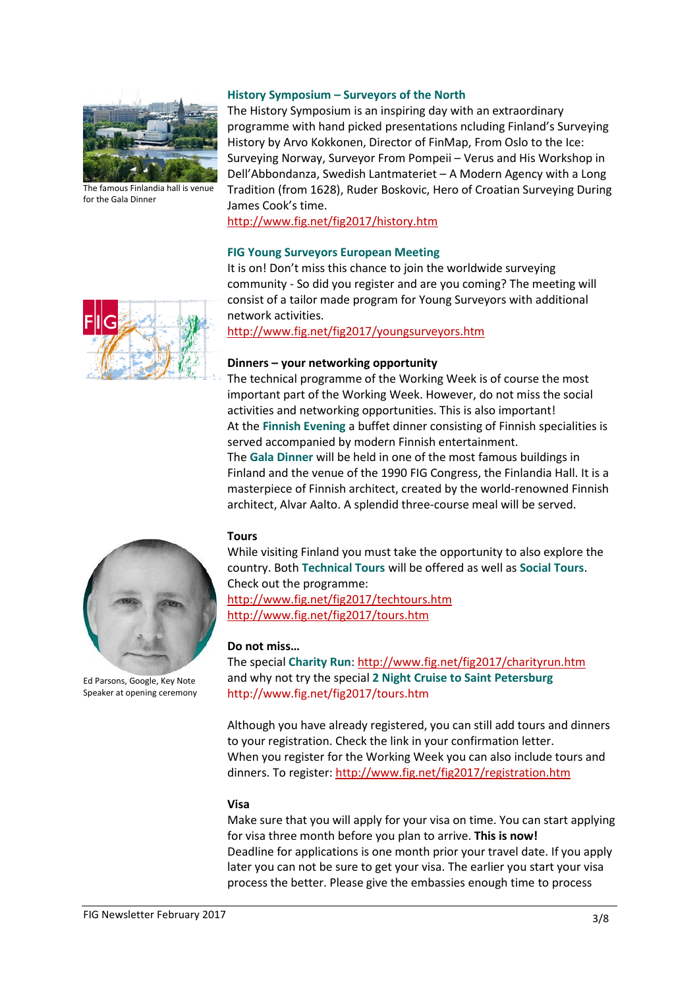

The famous Finlandia hall is venue for the Gala Dinner

#### **History Symposium – Surveyors of the North**

The History Symposium is an inspiring day with an extraordinary programme with hand picked presentations ncluding Finland's Surveying History by Arvo Kokkonen, Director of FinMap, From Oslo to the Ice: Surveying Norway, Surveyor From Pompeii – Verus and His Workshop in Dell'Abbondanza, Swedish Lantmateriet – A Modern Agency with a Long Tradition (from 1628), Ruder Boskovic, Hero of Croatian Surveying During James Cook's time.

<http://www.fig.net/fig2017/history.htm>

#### **FIG Young Surveyors European Meeting**

It is on! Don't miss this chance to join the worldwide surveying community - So did you register and are you coming? The meeting will consist of a tailor made program for Young Surveyors with additional network activities.

<http://www.fig.net/fig2017/youngsurveyors.htm>

#### **Dinners – your networking opportunity**

The technical programme of the Working Week is of course the most important part of the Working Week. However, do not miss the social activities and networking opportunities. This is also important! At the **Finnish Evening** a buffet dinner consisting of Finnish specialities is served accompanied by modern Finnish entertainment. The **Gala Dinner** will be held in one of the most famous buildings in Finland and the venue of the 1990 FIG Congress, the Finlandia Hall. It is a masterpiece of Finnish architect, created by the world-renowned Finnish architect, Alvar Aalto. A splendid three-course meal will be served.

#### **Tours**

While visiting Finland you must take the opportunity to also explore the country. Both **Technical Tours** will be offered as well as **Social Tours**. Check out the programme: <http://www.fig.net/fig2017/techtours.htm>

<http://www.fig.net/fig2017/tours.htm>

#### **Do not miss…**

The special Charity Run[: http://www.fig.net/fig2017/charityrun.htm](http://www.fig.net/fig2017/charityrun.htm) and why not try the special **2 Night Cruise to Saint Petersburg** http://www.fig.net/fig2017/tours.htm

Although you have already registered, you can still add tours and dinners to your registration. Check the link in your confirmation letter. When you register for the Working Week you can also include tours and dinners. To register:<http://www.fig.net/fig2017/registration.htm>

#### **Visa**

Make sure that you will apply for your visa on time. You can start applying for visa three month before you plan to arrive. **This is now!** Deadline for applications is one month prior your travel date. If you apply later you can not be sure to get your visa. The earlier you start your visa process the better. Please give the embassies enough time to process



Ed Parsons, Google, Key Note Speaker at opening ceremony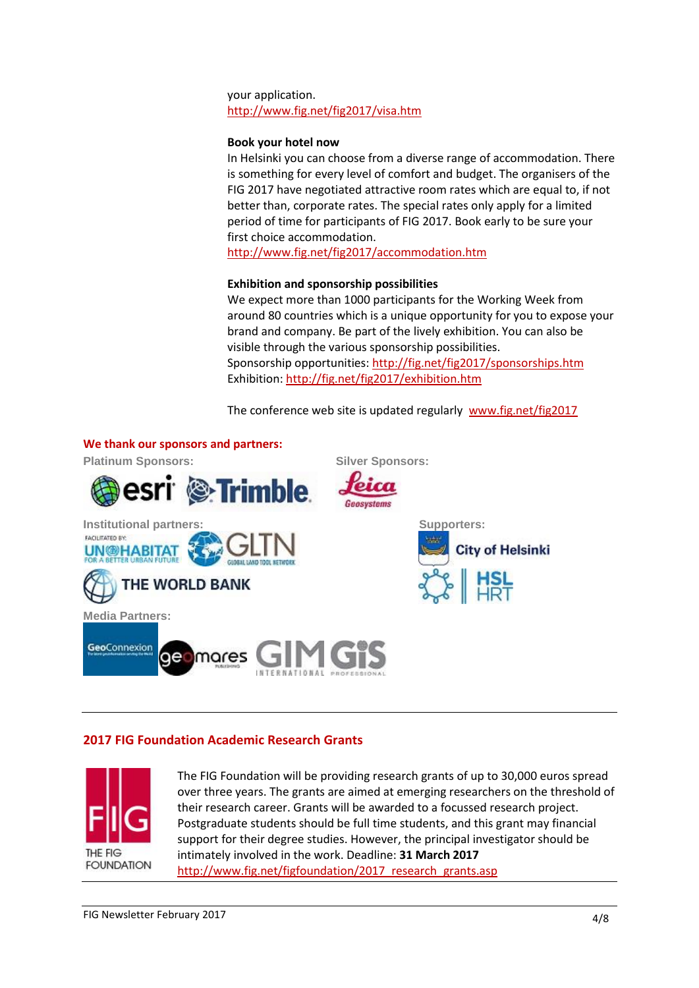your application. <http://www.fig.net/fig2017/visa.htm>

# **Book your hotel now**

In Helsinki you can choose from a diverse range of accommodation. There is something for every level of comfort and budget. The organisers of the FIG 2017 have negotiated attractive room rates which are equal to, if not better than, corporate rates. The special rates only apply for a limited period of time for participants of FIG 2017. Book early to be sure your first choice accommodation.

<http://www.fig.net/fig2017/accommodation.htm>

# **Exhibition and sponsorship possibilities**

We expect more than 1000 participants for the Working Week from around 80 countries which is a unique opportunity for you to expose your brand and company. Be part of the lively exhibition. You can also be visible through the various sponsorship possibilities. Sponsorship opportunities:<http://fig.net/fig2017/sponsorships.htm> Exhibition[: http://fig.net/fig2017/exhibition.htm](http://fig.net/fig2017/exhibition.htm)

The conference web site is updated regularly [www.fig.net/fig2017](http://www.fig.net/fig2017)



# **2017 FIG Foundation Academic Research Grants**



The FIG Foundation will be providing research grants of up to 30,000 euros spread over three years. The grants are aimed at emerging researchers on the threshold of their research career. Grants will be awarded to a focussed research project. Postgraduate students should be full time students, and this grant may financial support for their degree studies. However, the principal investigator should be intimately involved in the work. Deadline: **31 March 2017** http://www.fig.net/figfoundation/2017\_research\_grants.asp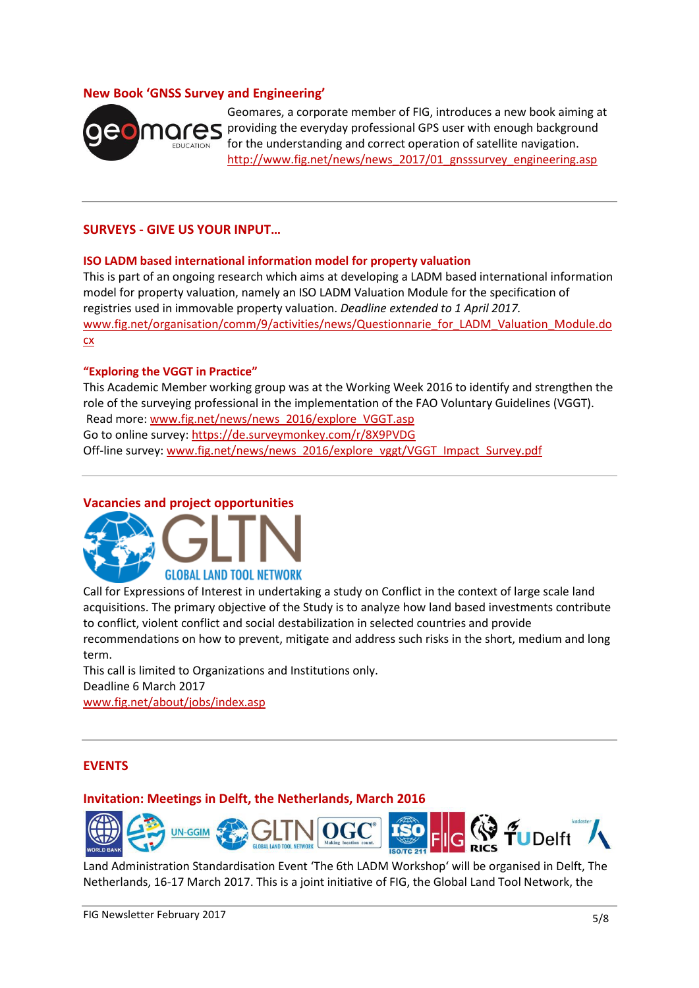# **New Book 'GNSS Survey and Engineering'**



Geomares, a corporate member of FIG, introduces a new book aiming at providing the everyday professional GPS user with enough background for the understanding and correct operation of satellite navigation. [http://www.fig.net/news/news\\_2017/01\\_gnsssurvey\\_engineering.asp](http://www.fig.net/news/news_2017/01_gnsssurvey_engineering.asp)

# **SURVEYS - GIVE US YOUR INPUT…**

#### **ISO LADM based international information model for property valuation**

This is part of an ongoing research which aims at developing a LADM based international information model for property valuation, namely an ISO LADM Valuation Module for the specification of registries used in immovable property valuation. *Deadline extended to 1 April 2017.* [www.fig.net/organisation/comm/9/activities/news/Questionnarie\\_for\\_LADM\\_Valuation\\_Module.do](http://www.fig.net/organisation/comm/9/activities/news/Questionnarie_for_LADM_Valuation_Module.docx) [cx](http://www.fig.net/organisation/comm/9/activities/news/Questionnarie_for_LADM_Valuation_Module.docx)

#### **"Exploring the VGGT in Practice"**

This Academic Member working group was at the Working Week 2016 to identify and strengthen the role of the surveying professional in the implementation of the FAO Voluntary Guidelines (VGGT). Read more[: www.fig.net/news/news\\_2016/explore\\_VGGT.asp](http://www.fig.net/news/news_2016/explore_VGGT.asp) Go to online survey:<https://de.surveymonkey.com/r/8X9PVDG> Off-line survey: [www.fig.net/news/news\\_2016/explore\\_vggt/VGGT\\_Impact\\_Survey.pdf](http://www.fig.net/news/news_2016/explore_vggt/VGGT_Impact_Survey.pdf)

# **Vacancies and project opportunities**



Call for Expressions of Interest in undertaking a study on Conflict in the context of large scale land acquisitions. The primary objective of the Study is to analyze how land based investments contribute to conflict, violent conflict and social destabilization in selected countries and provide recommendations on how to prevent, mitigate and address such risks in the short, medium and long term.

This call is limited to Organizations and Institutions only. Deadline 6 March 2017 [www.fig.net/about/jobs/index.asp](http://www.fig.net/about/jobs/index.asp)

# **EVENTS**

#### **Invitation: Meetings in Delft, the Netherlands, March 2016**



Land Administration Standardisation Event 'The 6th LADM Workshop' will be organised in Delft, The Netherlands, 16-17 March 2017. This is a joint initiative of FIG, the Global Land Tool Network, the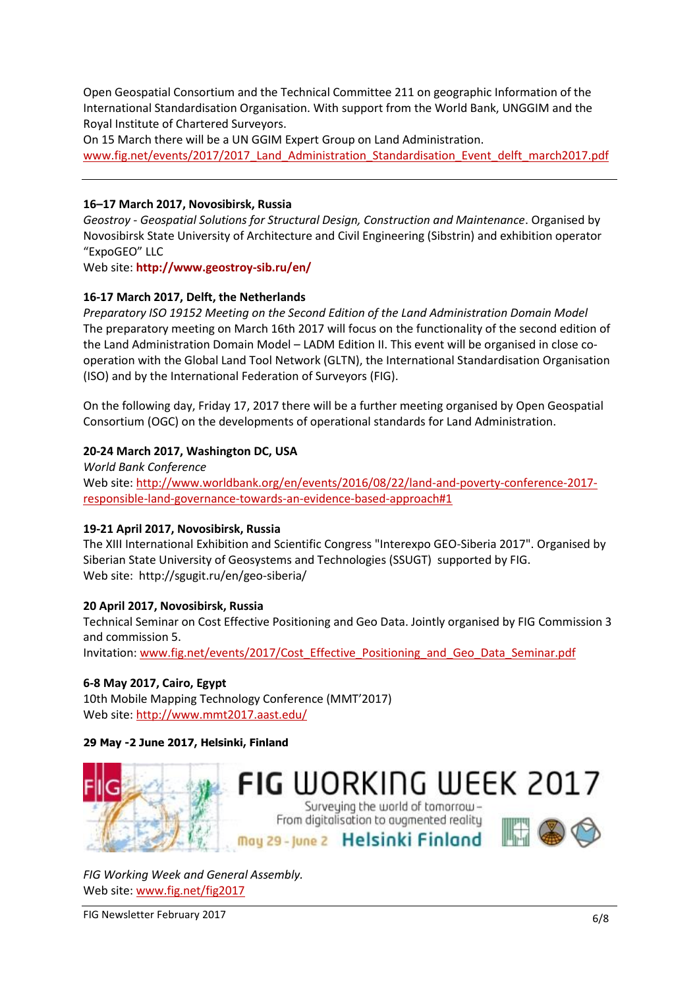Open Geospatial Consortium and the Technical Committee 211 on geographic Information of the International Standardisation Organisation. With support from the World Bank, UNGGIM and the Royal Institute of Chartered Surveyors.

On 15 March there will be a UN GGIM Expert Group on Land Administration.

[www.fig.net/events/2017/2017\\_Land\\_Administration\\_Standardisation\\_Event\\_delft\\_march2017.pdf](http://www.fig.net/events/2017/2017_Land_Administration_Standardisation_Event_delft_march2017.pdf)

#### **16–17 March 2017, Novosibirsk, Russia**

*Geostroy - Geospatial Solutions for Structural Design, Construction and Maintenance*. Organised by Novosibirsk State University of Architecture and Civil Engineering (Sibstrin) and exhibition operator "ExpoGEO" LLC

Web site: **<http://www.geostroy-sib.ru/en/>**

# **16-17 March 2017, Delft, the Netherlands**

*Preparatory ISO 19152 Meeting on the Second Edition of the Land Administration Domain Model* The preparatory meeting on March 16th 2017 will focus on the functionality of the second edition of the Land Administration Domain Model – LADM Edition II. This event will be organised in close cooperation with the Global Land Tool Network (GLTN), the International Standardisation Organisation (ISO) and by the International Federation of Surveyors (FIG).

On the following day, Friday 17, 2017 there will be a further meeting organised by Open Geospatial Consortium (OGC) on the developments of operational standards for Land Administration.

## **20-24 March 2017, Washington DC, USA**

*World Bank Conference* Web site: [http://www.worldbank.org/en/events/2016/08/22/land-and-poverty-conference-2017](http://www.worldbank.org/en/events/2016/08/22/land-and-poverty-conference-2017-responsible-land-governance-towards-an-evidence-based-approach#1) [responsible-land-governance-towards-an-evidence-based-approach#1](http://www.worldbank.org/en/events/2016/08/22/land-and-poverty-conference-2017-responsible-land-governance-towards-an-evidence-based-approach#1)

#### **19-21 April 2017, Novosibirsk, Russia**

The XIII International Exhibition and Scientific Congress "Interexpo GEO-Siberia 2017". Organised by Siberian State University of Geosystems and Technologies (SSUGT) supported by FIG. Web site: http://sgugit.ru/en/geo-siberia/

#### **20 April 2017, Novosibirsk, Russia**

Technical Seminar on Cost Effective Positioning and Geo Data. Jointly organised by FIG Commission 3 and commission 5.

Invitation: [www.fig.net/events/2017/Cost\\_Effective\\_Positioning\\_and\\_Geo\\_Data\\_Seminar.pdf](http://www.fig.net/events/2017/Cost_Effective_Positioning_and_Geo_Data_Seminar.pdf)

# **6-8 May 2017, Cairo, Egypt**

10th Mobile Mapping Technology Conference (MMT'2017) Web site:<http://www.mmt2017.aast.edu/>

# **29 May -2 June 2017, Helsinki, Finland**



*FIG Working Week and General Assembly.*  Web site: [www.fig.net/fig2017](http://www.fig.net/fig2017)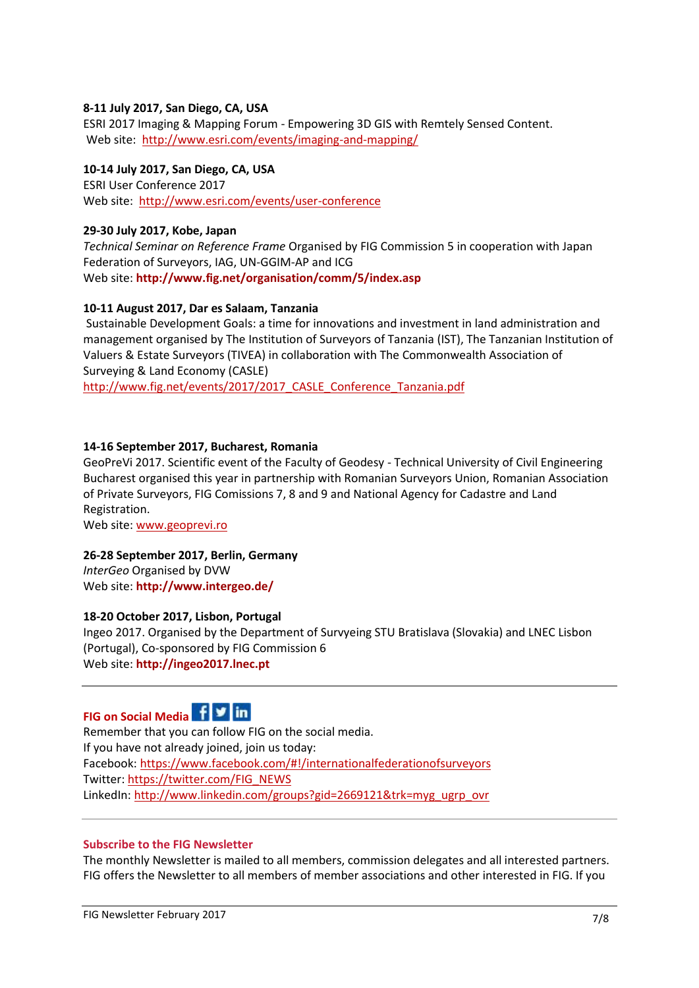# **8-11 July 2017, San Diego, CA, USA**

ESRI 2017 Imaging & Mapping Forum - Empowering 3D GIS with Remtely Sensed Content. Web site: <http://www.esri.com/events/imaging-and-mapping/>

# **10-14 July 2017, San Diego, CA, USA**

ESRI User Conference 2017 Web site:<http://www.esri.com/events/user-conference>

#### **29-30 July 2017, Kobe, Japan**

*Technical Seminar on Reference Frame* Organised by FIG Commission 5 in cooperation with Japan Federation of Surveyors, IAG, UN-GGIM-AP and ICG Web site: **<http://www.fig.net/organisation/comm/5/index.asp>**

## **10-11 August 2017, Dar es Salaam, Tanzania**

Sustainable Development Goals: a time for innovations and investment in land administration and management organised by The Institution of Surveyors of Tanzania (IST), The Tanzanian Institution of Valuers & Estate Surveyors (TIVEA) in collaboration with The Commonwealth Association of Surveying & Land Economy (CASLE)

http://www.fig.net/events/2017/2017 CASLE Conference Tanzania.pdf

#### **14-16 September 2017, Bucharest, Romania**

GeoPreVi 2017. Scientific event of the Faculty of Geodesy - Technical University of Civil Engineering Bucharest organised this year in partnership with Romanian Surveyors Union, Romanian Association of Private Surveyors, FIG Comissions 7, 8 and 9 and National Agency for Cadastre and Land Registration.

Web site: [www.geoprevi.ro](http://www.geoprevi.ro/)

#### **26-28 September 2017, Berlin, Germany**

*InterGeo* Organised by DVW Web site: **<http://www.intergeo.de/>**

## **18-20 October 2017, Lisbon, Portugal**

Ingeo 2017. Organised by the Department of Survyeing STU Bratislava (Slovakia) and LNEC Lisbon (Portugal), Co-sponsored by FIG Commission 6 Web site: **[http://ingeo2017.lnec.pt](http://ingeo2017.lnec.pt/)**



Remember that you can follow FIG on the social media. If you have not already joined, join us today: Facebook:<https://www.facebook.com/#!/internationalfederationofsurveyors> Twitter: [https://twitter.com/FIG\\_NEWS](https://twitter.com/FIG_NEWS) LinkedIn: [http://www.linkedin.com/groups?gid=2669121&trk=myg\\_ugrp\\_ovr](http://www.linkedin.com/groups?gid=2669121&trk=myg_ugrp_ovr) 

#### **Subscribe to the FIG Newsletter**

The monthly Newsletter is mailed to all members, commission delegates and all interested partners. FIG offers the Newsletter to all members of member associations and other interested in FIG. If you